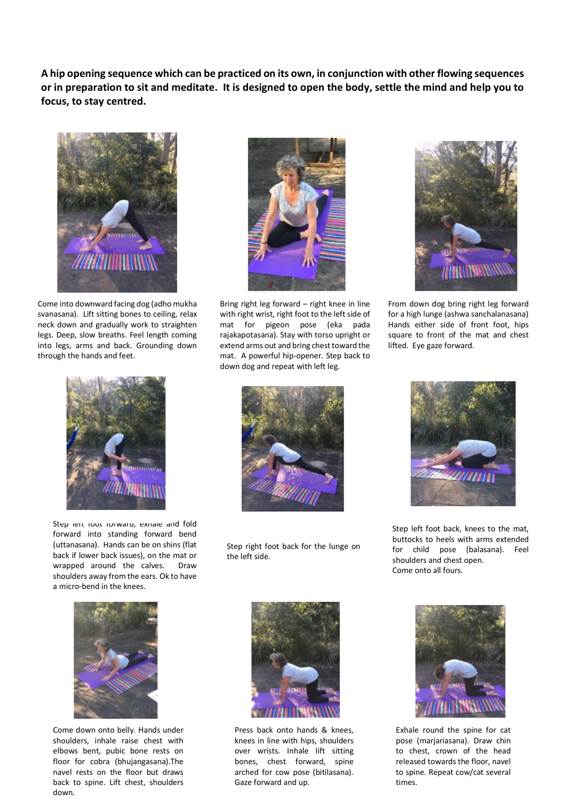**A hip opening sequence which can be practiced on its own, in conjunction with other flowing sequences or in preparation to sit and meditate. It is designed to open the body, settle the mind and help you to focus, to stay centred.**



Come into downward facing dog (adho mukha svanasana). Lift sitting bones to ceiling, relax neck down and gradually work to straighten legs. Deep, slow breaths. Feel length coming into legs, arms and back. Grounding down through the hands and feet.



Step left foot forward, exhale and fold forward into standing forward bend (uttanasana). Hands can be on shins (flat back if lower back issues), on the mat or wrapped around the calves. Draw shoulders away from the ears. Ok to have a micro-bend in the knees.





Bring right leg forward – right knee in line with right wrist, right foot to the left side of mat for pigeon pose (eka pada rajakapotasana). Stay with torso upright or extend arms out and bring chest toward the mat. A powerful hip-opener. Step back to down dog and repeat with left leg.



From down dog bring right leg forward for a high lunge (ashwa sanchalanasana) Hands either side of front foot, hips square to front of the mat and chest lifted. Eye gaze forward.



Step right foot back for the lunge on the left side.



Step left foot back, knees to the mat, buttocks to heels with arms extended for child pose (balasana). Feel shoulders and chest open. Come onto all fours.



Come down onto belly. Hands under shoulders, inhale raise chest with elbows bent, pubic bone rests on floor for cobra (bhujangasana).The navel rests on the floor but draws back to spine. Lift chest, shoulders down.



Press back onto hands & knees, knees in line with hips, shoulders over wrists. Inhale lift sitting bones, chest forward, spine arched for cow pose (bitilasana). Gaze forward and up.



Exhale round the spine for cat pose (marjariasana). Draw chin to chest, crown of the head released towards the floor, navel to spine. Repeat cow/cat several times.